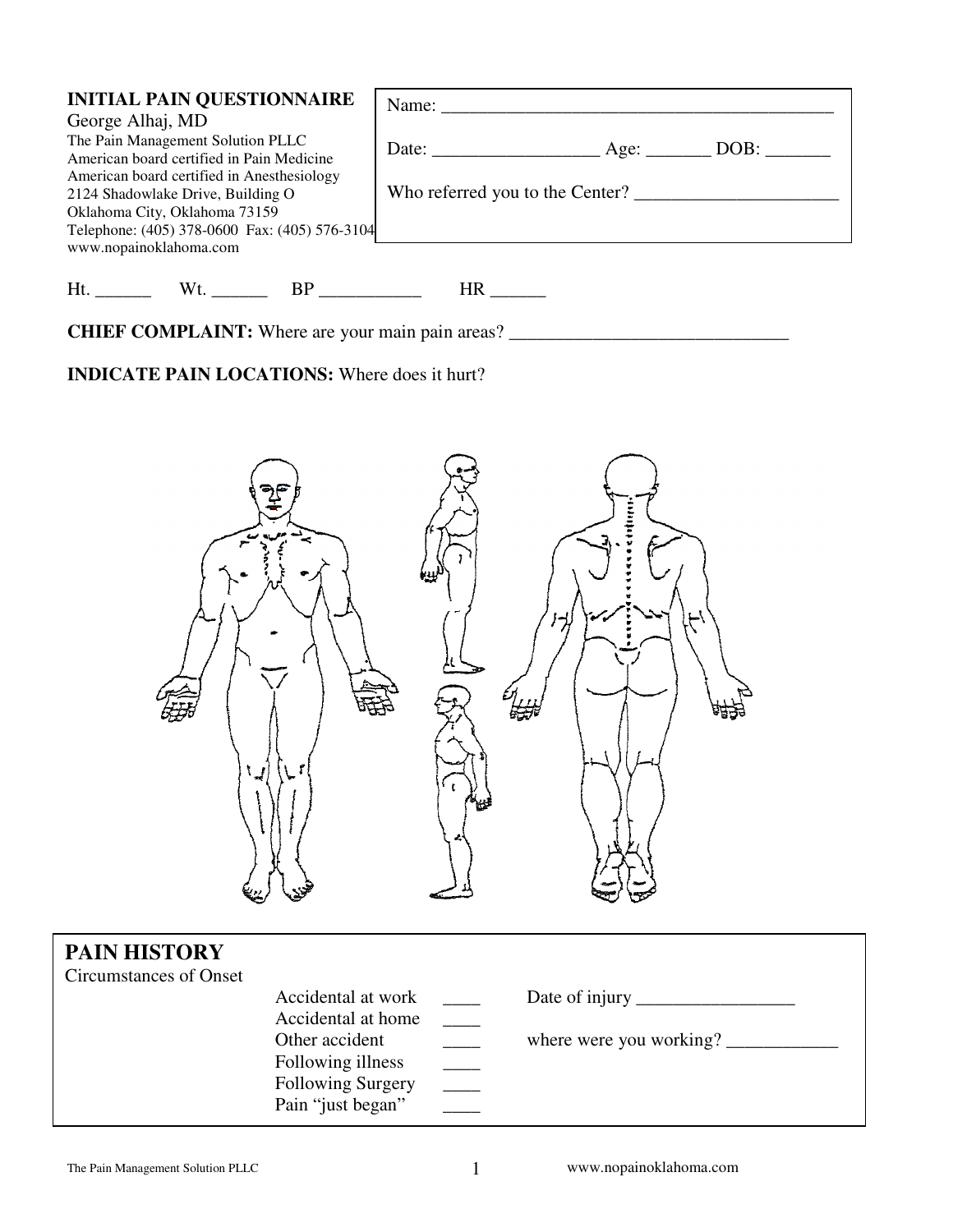| <b>INITIAL PAIN QUESTIONNAIRE</b><br>George Alhaj, MD<br>The Pain Management Solution PLLC<br>American board certified in Pain Medicine<br>American board certified in Anesthesiology<br>2124 Shadowlake Drive, Building O<br>Oklahoma City, Oklahoma 73159<br>Telephone: (405) 378-0600 Fax: (405) 576-3104<br>www.nopainoklahoma.com | Who referred you to the Center? |
|----------------------------------------------------------------------------------------------------------------------------------------------------------------------------------------------------------------------------------------------------------------------------------------------------------------------------------------|---------------------------------|
| Ht.<br>Wt. BP                                                                                                                                                                                                                                                                                                                          | HR                              |

**CHIEF COMPLAINT:** Where are your main pain areas? \_\_\_\_\_\_\_\_\_\_\_\_\_\_\_\_\_\_\_\_\_\_\_\_\_\_\_\_\_\_\_

# **INDICATE PAIN LOCATIONS:** Where does it hurt?



| <b>PAIN HISTORY</b><br>Circumstances of Onset |                                                                               |                         |
|-----------------------------------------------|-------------------------------------------------------------------------------|-------------------------|
|                                               | Accidental at work<br>Accidental at home                                      |                         |
|                                               | Other accident<br>Following illness<br>Following Surgery<br>Pain "just began" | where were you working? |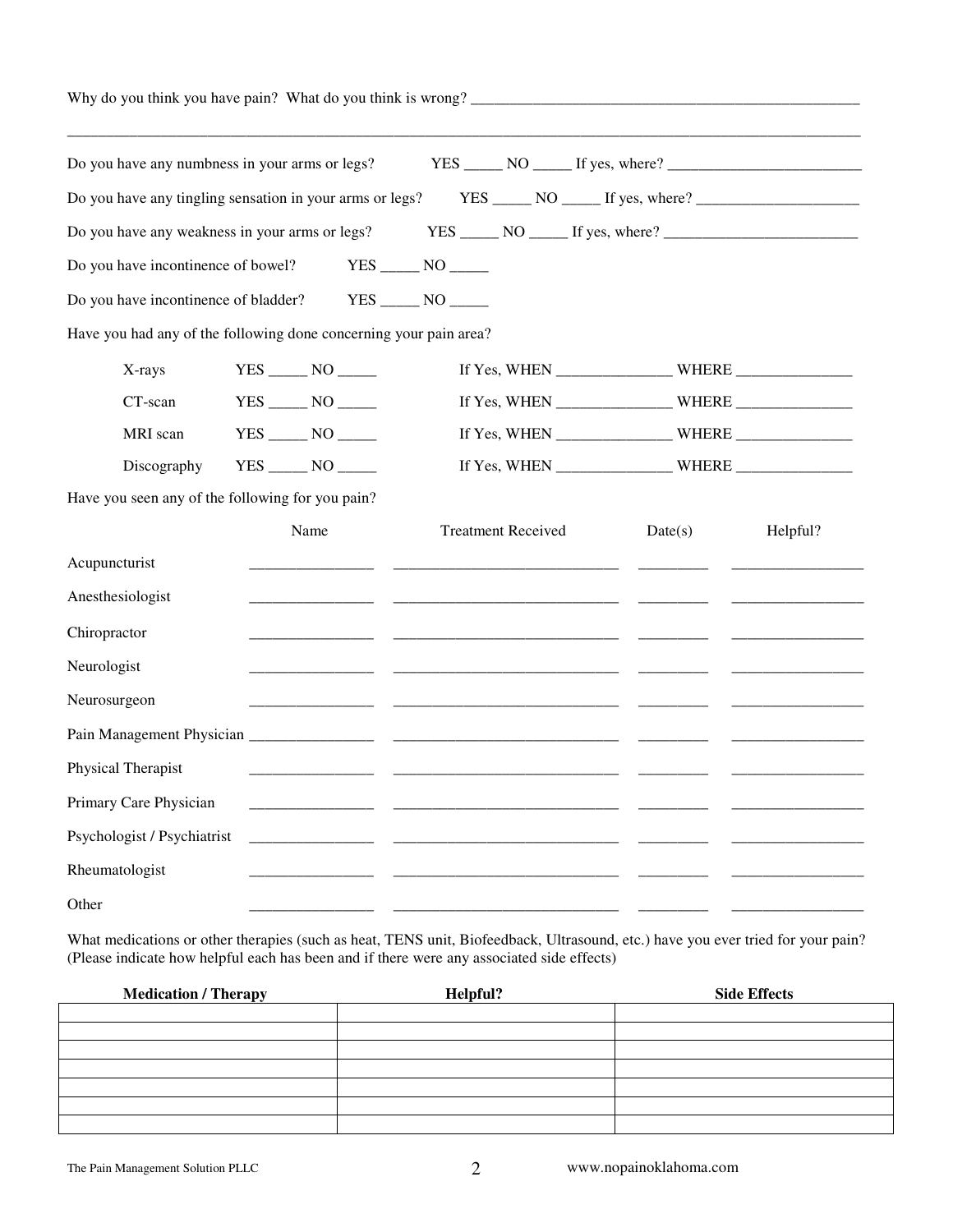| Why do you think you have pain? What do you think is wrong?       |                   |  |                           |         |          |
|-------------------------------------------------------------------|-------------------|--|---------------------------|---------|----------|
| Do you have any numbress in your arms or legs?                    |                   |  |                           |         |          |
| Do you have any tingling sensation in your arms or legs?          |                   |  |                           |         |          |
| Do you have any weakness in your arms or legs?                    |                   |  |                           |         |          |
| Do you have incontinence of bowel? YES _______ NO ______          |                   |  |                           |         |          |
| Do you have incontinence of bladder? YES _______ NO ______        |                   |  |                           |         |          |
| Have you had any of the following done concerning your pain area? |                   |  |                           |         |          |
| X-rays                                                            |                   |  |                           |         |          |
| CT-scan                                                           |                   |  |                           |         |          |
| MRI scan                                                          | $YES$ NO $\qquad$ |  |                           |         |          |
| Discography                                                       |                   |  |                           |         |          |
| Have you seen any of the following for you pain?                  |                   |  |                           |         |          |
|                                                                   | Name              |  | <b>Treatment Received</b> | Date(s) | Helpful? |
| Acupuncturist                                                     |                   |  |                           |         |          |
| Anesthesiologist                                                  |                   |  |                           |         |          |
| Chiropractor                                                      |                   |  |                           |         |          |
| Neurologist                                                       |                   |  |                           |         |          |
| Neurosurgeon                                                      |                   |  |                           |         |          |
|                                                                   |                   |  |                           |         |          |
| Physical Therapist                                                |                   |  |                           |         |          |
| Primary Care Physician                                            |                   |  |                           |         |          |
| Psychologist / Psychiatrist                                       |                   |  |                           |         |          |
| Rheumatologist                                                    |                   |  |                           |         |          |
| Other                                                             |                   |  |                           |         |          |
|                                                                   |                   |  |                           |         |          |

What medications or other therapies (such as heat, TENS unit, Biofeedback, Ultrasound, etc.) have you ever tried for your pain? (Please indicate how helpful each has been and if there were any associated side effects)

| <b>Medication / Therapy</b> | Helpful? | <b>Side Effects</b> |
|-----------------------------|----------|---------------------|
|                             |          |                     |
|                             |          |                     |
|                             |          |                     |
|                             |          |                     |
|                             |          |                     |
|                             |          |                     |
|                             |          |                     |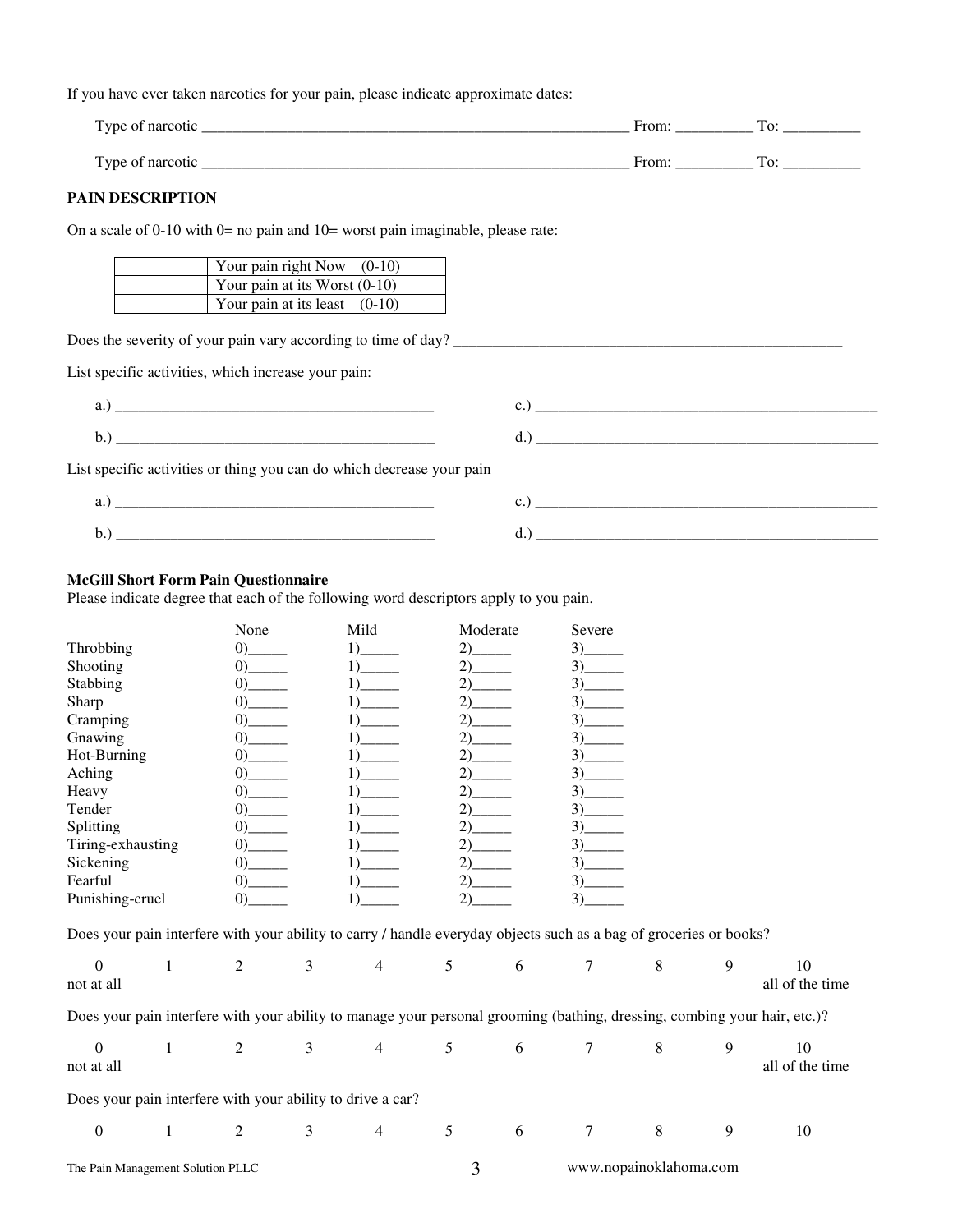If you have ever taken narcotics for your pain, please indicate approximate dates:

|                                                                                    | From: $\sqrt{2\pi}$<br>To: The contract of the contract of the contract of the contract of the contract of the contract of the contract of the contract of the contract of the contract of the contract of the contract of the contract of the contra |
|------------------------------------------------------------------------------------|-------------------------------------------------------------------------------------------------------------------------------------------------------------------------------------------------------------------------------------------------------|
|                                                                                    | From: $\qquad \qquad \text{To:}$                                                                                                                                                                                                                      |
| <b>PAIN DESCRIPTION</b>                                                            |                                                                                                                                                                                                                                                       |
| On a scale of 0-10 with $0=$ no pain and $10=$ worst pain imaginable, please rate: |                                                                                                                                                                                                                                                       |
| Your pain right Now $(0-10)$                                                       |                                                                                                                                                                                                                                                       |
| Your pain at its Worst $(0-10)$                                                    |                                                                                                                                                                                                                                                       |
| Your pain at its least $(0-10)$                                                    |                                                                                                                                                                                                                                                       |

Does the severity of your pain vary according to time of day? \_\_\_\_\_\_\_\_\_\_\_\_\_\_\_\_\_\_\_\_\_\_\_\_\_\_\_\_\_\_\_\_\_\_\_\_\_\_\_\_\_\_\_\_\_\_\_\_\_\_

List specific activities, which increase your pain:

- a.)  $c.)$
- b.) \_\_\_\_\_\_\_\_\_\_\_\_\_\_\_\_\_\_\_\_\_\_\_\_\_\_\_\_\_\_\_\_\_\_\_\_\_\_\_\_\_ d.) \_\_\_\_\_\_\_\_\_\_\_\_\_\_\_\_\_\_\_\_\_\_\_\_\_\_\_\_\_\_\_\_\_\_\_\_\_\_\_\_\_\_\_\_

| List specific activities or thing you can do which decrease your pain |  |  |  |
|-----------------------------------------------------------------------|--|--|--|
|-----------------------------------------------------------------------|--|--|--|

| . | ____________<br>___________________________<br>_____ |
|---|------------------------------------------------------|
| ຼ |                                                      |

# **McGill Short Form Pain Questionnaire**

Please indicate degree that each of the following word descriptors apply to you pain.

|                   | None                                  | Mild | Moderate | Severe |
|-------------------|---------------------------------------|------|----------|--------|
| Throbbing         | $\Omega$                              |      | (2)      | 3)     |
| Shooting          | $\Omega$                              |      | 2) —     |        |
| Stabbing          | $\Omega$                              |      | 2) —     | 3)     |
| Sharp             | $\Omega$                              |      | 2)       | 3)     |
| Cramping          | $\vert 0\rangle$ and $\vert 0\rangle$ |      | 2)       |        |
| Gnawing           |                                       |      | 2)       | 3)     |
| Hot-Burning       | $\Omega$                              |      | 2)       | 3)     |
| Aching            |                                       |      | 2) —     | 3)     |
| Heavy             | $\Omega$                              |      | 2) —     | 3)     |
| Tender            | $\Omega$                              |      |          | 3)     |
| Splitting         |                                       |      |          | 3)     |
| Tiring-exhausting | $\Omega$                              |      | 2)       | 3)     |
| Sickening         |                                       |      |          | 3)     |
| Fearful           | $\Omega$                              |      |          | 3)     |
| Punishing-cruel   |                                       |      |          | 3)     |

Does your pain interfere with your ability to carry / handle everyday objects such as a bag of groceries or books?

| $\Omega$<br>not at all                                     |   |   | $\overline{4}$ |                | 6  | 8                      |   | 10<br>all of the time                                                                                                     |
|------------------------------------------------------------|---|---|----------------|----------------|----|------------------------|---|---------------------------------------------------------------------------------------------------------------------------|
|                                                            |   |   |                |                |    |                        |   | Does your pain interfere with your ability to manage your personal grooming (bathing, dressing, combing your hair, etc.)? |
| $\Omega$<br>not at all                                     |   |   | 4              | 5              | -6 | 8                      |   | 10<br>all of the time                                                                                                     |
| Does your pain interfere with your ability to drive a car? |   |   |                |                |    |                        |   |                                                                                                                           |
| $\Omega$                                                   | 2 | 3 | 4              | $\mathfrak{S}$ | -6 | 8                      | 9 | 10                                                                                                                        |
| The Pain Management Solution PLLC                          |   |   |                |                |    | www.nopainoklahoma.com |   |                                                                                                                           |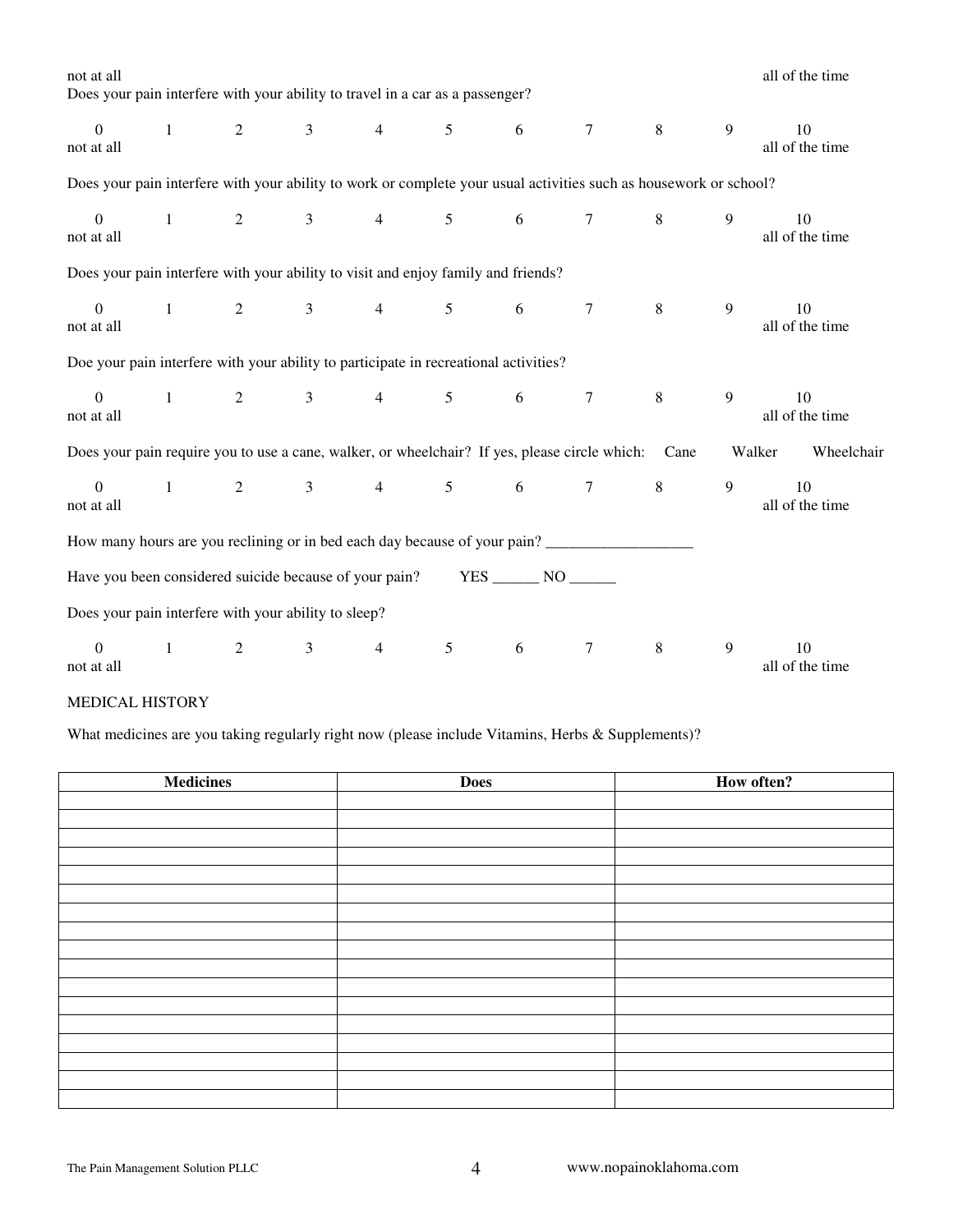| not at all                                                                                                        |              |                |                     |                                         |                |                 |                 |         |   | all of the time       |
|-------------------------------------------------------------------------------------------------------------------|--------------|----------------|---------------------|-----------------------------------------|----------------|-----------------|-----------------|---------|---|-----------------------|
| Does your pain interfere with your ability to travel in a car as a passenger?                                     |              |                |                     |                                         |                |                 |                 |         |   |                       |
| $\overline{0}$<br>not at all                                                                                      | $\mathbf{1}$ | $\overline{2}$ | $\mathfrak{Z}$      | $4\overline{ }$                         | 5 <sup>5</sup> | 6               | $7\overline{ }$ | 8       | 9 | 10<br>all of the time |
| Does your pain interfere with your ability to work or complete your usual activities such as housework or school? |              |                |                     |                                         |                |                 |                 |         |   |                       |
| $\mathbf{0}$<br>not at all                                                                                        | $\mathbf{1}$ |                |                     | 2 3 4 5                                 |                | $6\overline{6}$ | $7\phantom{.0}$ | 8       | 9 | 10<br>all of the time |
| Does your pain interfere with your ability to visit and enjoy family and friends?                                 |              |                |                     |                                         |                |                 |                 |         |   |                       |
| $\overline{0}$<br>not at all                                                                                      | $\mathbf{1}$ |                | $2 \qquad \qquad 3$ | $4\overline{ }$                         | 5 <sup>5</sup> | 6               | $7\phantom{.0}$ | 8       | 9 | 10<br>all of the time |
| Doe your pain interfere with your ability to participate in recreational activities?                              |              |                |                     |                                         |                |                 |                 |         |   |                       |
| $\mathbf{0}$<br>not at all                                                                                        | $\mathbf{1}$ |                |                     | $2 \qquad \qquad 3 \qquad \qquad 4$     | 5 <sup>5</sup> | 6               | $7\overline{ }$ | 8       | 9 | 10<br>all of the time |
| Does your pain require you to use a cane, walker, or wheelchair? If yes, please circle which:                     |              |                |                     |                                         |                |                 |                 | Cane    |   | Walker<br>Wheelchair  |
| $\overline{0}$<br>not at all                                                                                      |              |                |                     | $1 \qquad 2 \qquad 3 \qquad 4 \qquad 5$ |                | $6\overline{6}$ | $7\overline{ }$ | $8\,$   | 9 | 10<br>all of the time |
| How many hours are you reclining or in bed each day because of your pain?                                         |              |                |                     |                                         |                |                 |                 |         |   |                       |
| Have you been considered suicide because of your pain?                                                            |              |                |                     |                                         |                | YES NO          |                 |         |   |                       |
| Does your pain interfere with your ability to sleep?                                                              |              |                |                     |                                         |                |                 |                 |         |   |                       |
| $\theta$<br>not at all                                                                                            | $\mathbf{1}$ | 2              | $\mathfrak{Z}$      | $\overline{4}$                          | 5              | 6               | $\tau$          | $\,8\,$ | 9 | 10<br>all of the time |

### MEDICAL HISTORY

What medicines are you taking regularly right now (please include Vitamins, Herbs & Supplements)?

| <b>Medicines</b> | <b>Does</b> | How often? |
|------------------|-------------|------------|
|                  |             |            |
|                  |             |            |
|                  |             |            |
|                  |             |            |
|                  |             |            |
|                  |             |            |
|                  |             |            |
|                  |             |            |
|                  |             |            |
|                  |             |            |
|                  |             |            |
|                  |             |            |
|                  |             |            |
|                  |             |            |
|                  |             |            |
|                  |             |            |
|                  |             |            |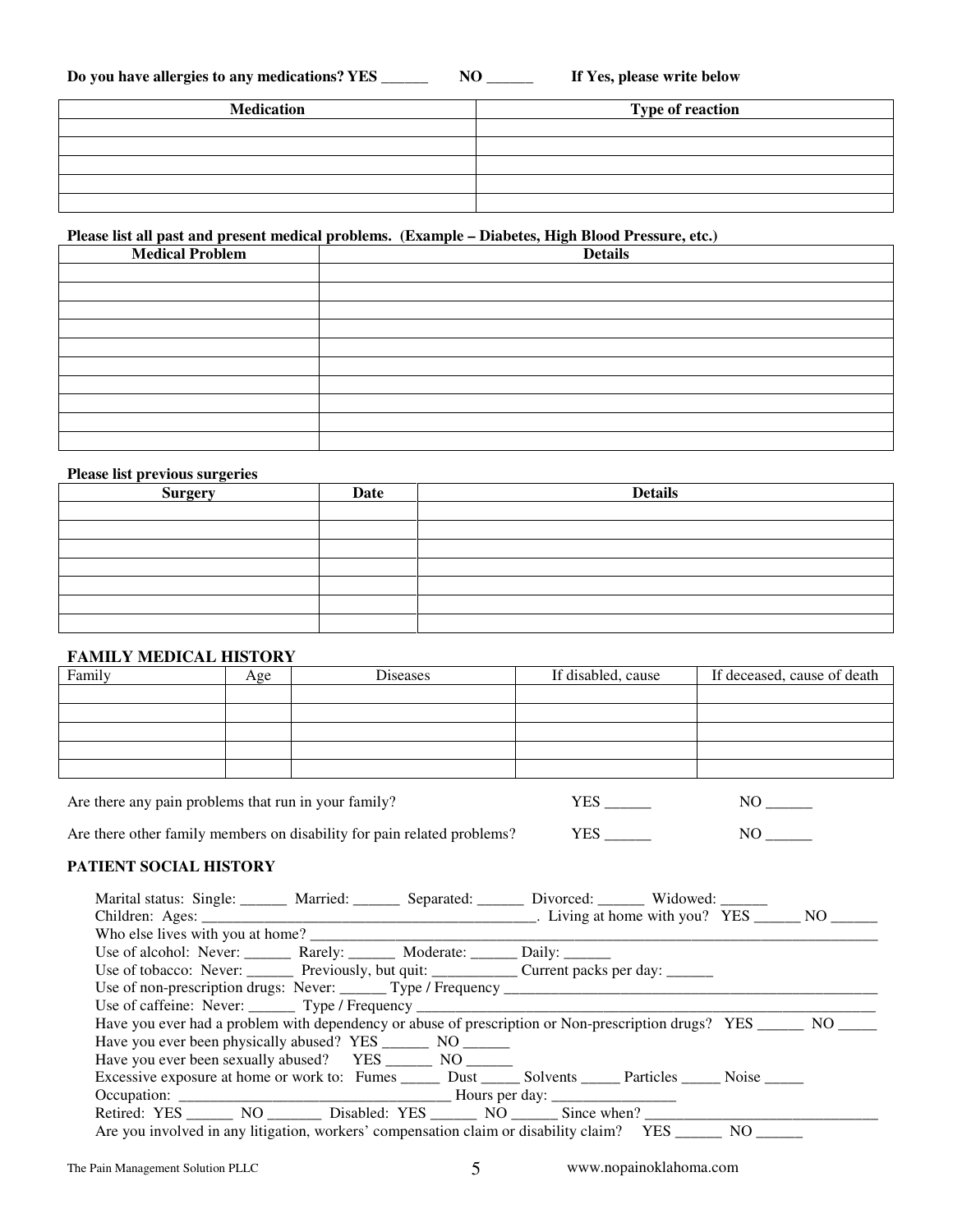| Do you have allergies to any medications? YES | NO | If Yes, please write below |
|-----------------------------------------------|----|----------------------------|
|-----------------------------------------------|----|----------------------------|

| <b>Medication</b> | <b>Type of reaction</b> |
|-------------------|-------------------------|
|                   |                         |
|                   |                         |
|                   |                         |
|                   |                         |
|                   |                         |

# **Please list all past and present medical problems. (Example – Diabetes, High Blood Pressure, etc.)**

| <b>Medical Problem</b> | <b>Details</b> |
|------------------------|----------------|
|                        |                |
|                        |                |
|                        |                |
|                        |                |
|                        |                |
|                        |                |
|                        |                |
|                        |                |
|                        |                |
|                        |                |

### **Please list previous surgeries**

| $\bullet$<br><b>Surgery</b> | Date | <b>Details</b> |
|-----------------------------|------|----------------|
|                             |      |                |
|                             |      |                |
|                             |      |                |
|                             |      |                |
|                             |      |                |
|                             |      |                |
|                             |      |                |

# **FAMILY MEDICAL HISTORY**

| FAMILLI MEDICAL HISTORI |     |          |                    |                             |
|-------------------------|-----|----------|--------------------|-----------------------------|
| Family                  | Age | Diseases | If disabled, cause | If deceased, cause of death |
|                         |     |          |                    |                             |
|                         |     |          |                    |                             |
|                         |     |          |                    |                             |
|                         |     |          |                    |                             |
|                         |     |          |                    |                             |
|                         |     |          |                    |                             |

Are there any pain problems that run in your family? YES \_\_\_\_\_\_ NO \_\_\_\_\_\_

Are there other family members on disability for pain related problems? YES \_\_\_\_\_\_\_\_\_\_\_\_\_\_\_\_\_\_\_\_\_\_\_ NO \_\_\_\_\_\_\_

## **PATIENT SOCIAL HISTORY**

| Marital status: Single: Married: Separated: Divorced: Widowed: Widowed:                                             |  |  |  |
|---------------------------------------------------------------------------------------------------------------------|--|--|--|
|                                                                                                                     |  |  |  |
|                                                                                                                     |  |  |  |
| Use of alcohol: Never: ________ Rarely: _______ Moderate: ______ Daily: ______                                      |  |  |  |
| Use of tobacco: Never: _______ Previously, but quit: ____________ Current packs per day: _______                    |  |  |  |
|                                                                                                                     |  |  |  |
|                                                                                                                     |  |  |  |
| Have you ever had a problem with dependency or abuse of prescription or Non-prescription drugs? YES ______ NO _____ |  |  |  |
| Have you ever been physically abused? YES _________ NO _______                                                      |  |  |  |
| Have you ever been sexually abused? YES ________ NO ______                                                          |  |  |  |
| Excessive exposure at home or work to: Fumes _______ Dust ______ Solvents ______ Particles ______ Noise ______      |  |  |  |
|                                                                                                                     |  |  |  |
| Retired: YES _________ NO ___________ Disabled: YES _________ NO ________ Since when?                               |  |  |  |
| Are you involved in any litigation, workers' compensation claim or disability claim? YES _______ NO _____           |  |  |  |